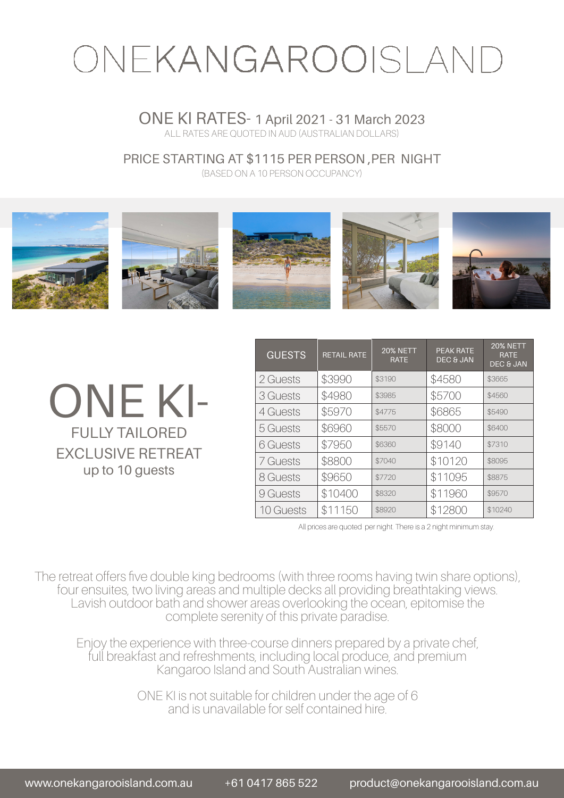# ONEKANGAROOISLAND

### ONE KI RATES- 1 April 2021 - 31 March 2023 ALL RATES ARE QUOTED IN AUD (AUSTRALIAN DOLLARS)

PRICE STARTING AT \$1115 PER PERSON ,PER NIGHT

(BASED ON A 10 PERSON OCCUPANCY)



ONE KI-FULLY TAILORED EXCLUSIVE RETREAT up to 10 guests

| <b>GUESTS</b> | <b>RETAIL RATE</b> | <b>20% NETT</b><br><b>RATE</b> | <b>PEAK RATE</b><br><b>DEC &amp; JAN</b> | <b>20% NETT</b><br><b>RATE</b><br><b>DEC &amp; JAN</b> |
|---------------|--------------------|--------------------------------|------------------------------------------|--------------------------------------------------------|
| 2 Guests      | \$3990             | \$3190                         | \$4580                                   | \$3665                                                 |
| 3 Guests      | \$4980             | \$3985                         | \$5700                                   | \$4560                                                 |
| 4 Guests      | \$5970             | \$4775                         | \$6865                                   | \$5490                                                 |
| 5 Guests      | \$6960             | \$5570                         | \$8000                                   | \$6400                                                 |
| 6 Guests      | \$7950             | \$6360                         | \$9140                                   | \$7310                                                 |
| 7 Guests      | \$8800             | \$7040                         | \$10120                                  | \$8095                                                 |
| 8 Guests      | \$9650             | \$7720                         | \$11095                                  | \$8875                                                 |
| 9 Guests      | \$10400            | \$8320                         | \$11960                                  | \$9570                                                 |
| 10 Guests     | \$11150            | \$8920                         | \$12800                                  | \$10240                                                |

All prices are quoted per night. There is a 2 night minimum stay.

The retreat offers five double king bedrooms (with three rooms having twin share options), four ensuites, two living areas and multiple decks all providing breathtaking views. Lavish outdoor bath and shower areas overlooking the ocean, epitomise the complete serenity of this private paradise.

Enjoy the experience with three-course dinners prepared by a private chef, full breakfast and refreshments, including local produce, and premium Kangaroo Island and South Australian wines.

> ONE KI is not suitable for children under the age of 6 and is unavailable for self contained hire.